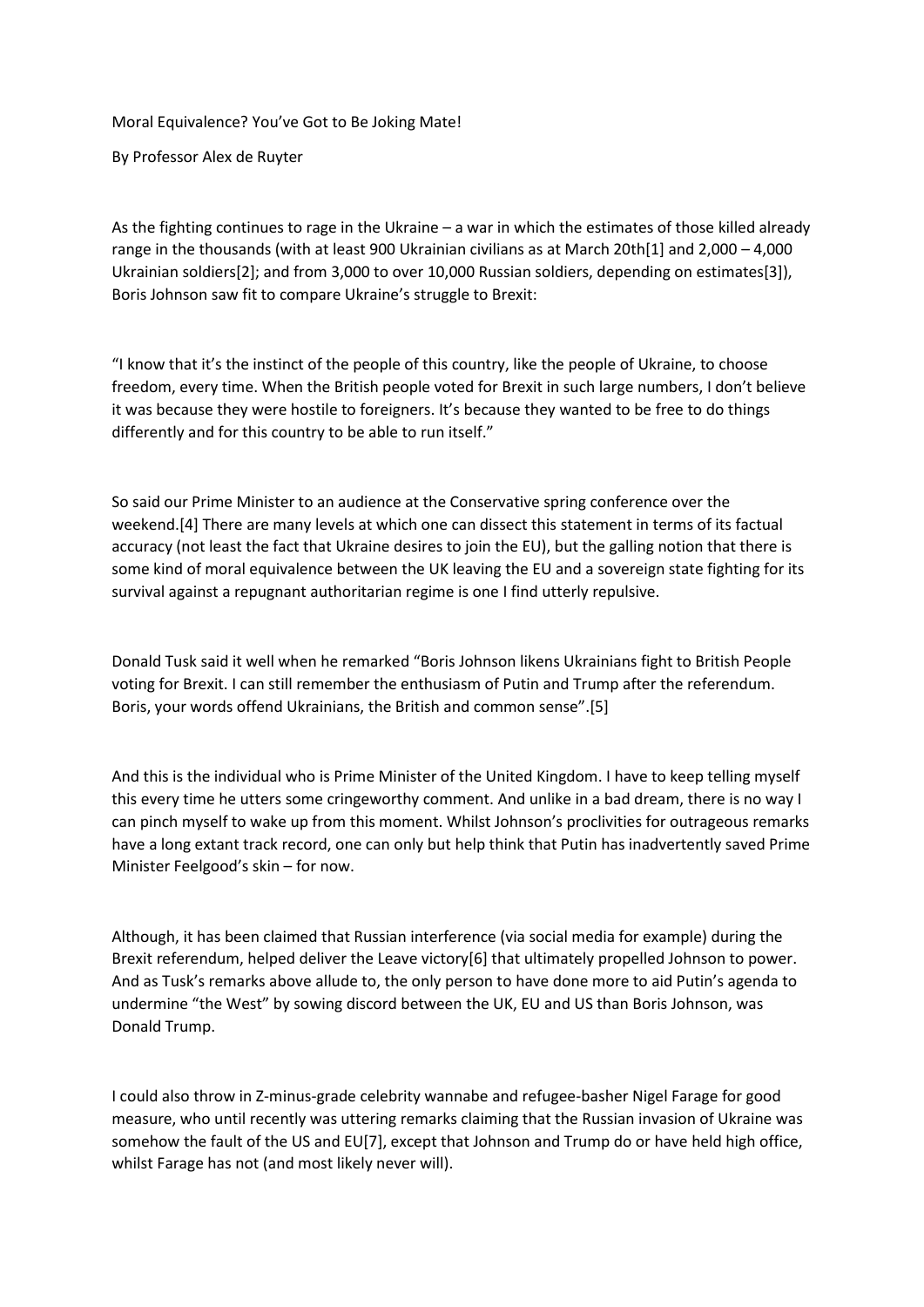Moral Equivalence? You've Got to Be Joking Mate!

By Professor Alex de Ruyter

As the fighting continues to rage in the Ukraine – a war in which the estimates of those killed already range in the thousands (with at least 900 Ukrainian civilians as at March 20th[1] and 2,000 – 4,000 Ukrainian soldiers[2]; and from 3,000 to over 10,000 Russian soldiers, depending on estimates[3]), Boris Johnson saw fit to compare Ukraine's struggle to Brexit:

"I know that it's the instinct of the people of this country, like the people of Ukraine, to choose freedom, every time. When the British people voted for Brexit in such large numbers, I don't believe it was because they were hostile to foreigners. It's because they wanted to be free to do things differently and for this country to be able to run itself."

So said our Prime Minister to an audience at the Conservative spring conference over the weekend.[4] There are many levels at which one can dissect this statement in terms of its factual accuracy (not least the fact that Ukraine desires to join the EU), but the galling notion that there is some kind of moral equivalence between the UK leaving the EU and a sovereign state fighting for its survival against a repugnant authoritarian regime is one I find utterly repulsive.

Donald Tusk said it well when he remarked "Boris Johnson likens Ukrainians fight to British People voting for Brexit. I can still remember the enthusiasm of Putin and Trump after the referendum. Boris, your words offend Ukrainians, the British and common sense".[5]

And this is the individual who is Prime Minister of the United Kingdom. I have to keep telling myself this every time he utters some cringeworthy comment. And unlike in a bad dream, there is no way I can pinch myself to wake up from this moment. Whilst Johnson's proclivities for outrageous remarks have a long extant track record, one can only but help think that Putin has inadvertently saved Prime Minister Feelgood's skin – for now.

Although, it has been claimed that Russian interference (via social media for example) during the Brexit referendum, helped deliver the Leave victory[6] that ultimately propelled Johnson to power. And as Tusk's remarks above allude to, the only person to have done more to aid Putin's agenda to undermine "the West" by sowing discord between the UK, EU and US than Boris Johnson, was Donald Trump.

I could also throw in Z-minus-grade celebrity wannabe and refugee-basher Nigel Farage for good measure, who until recently was uttering remarks claiming that the Russian invasion of Ukraine was somehow the fault of the US and EU[7], except that Johnson and Trump do or have held high office, whilst Farage has not (and most likely never will).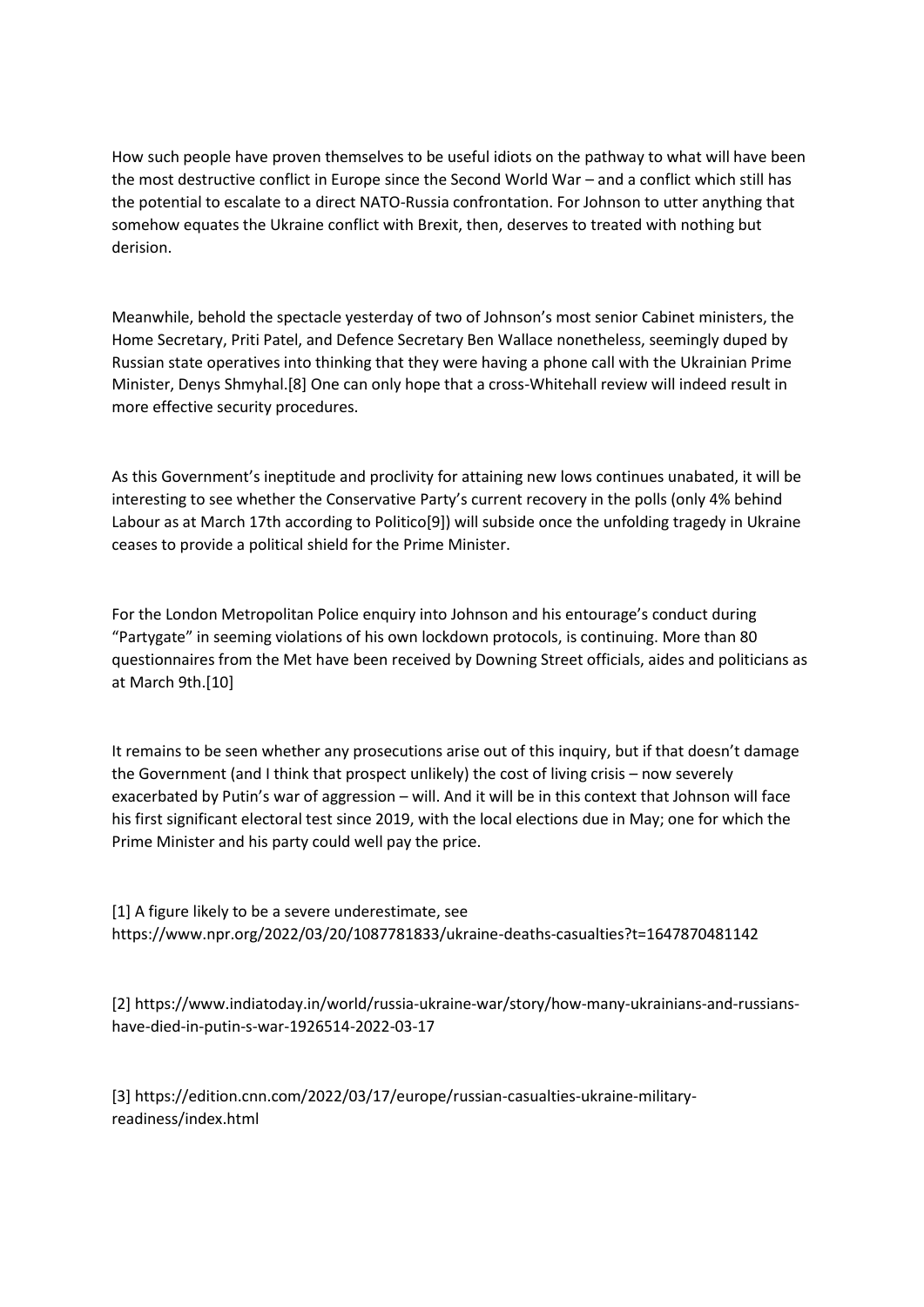How such people have proven themselves to be useful idiots on the pathway to what will have been the most destructive conflict in Europe since the Second World War – and a conflict which still has the potential to escalate to a direct NATO-Russia confrontation. For Johnson to utter anything that somehow equates the Ukraine conflict with Brexit, then, deserves to treated with nothing but derision.

Meanwhile, behold the spectacle yesterday of two of Johnson's most senior Cabinet ministers, the Home Secretary, Priti Patel, and Defence Secretary Ben Wallace nonetheless, seemingly duped by Russian state operatives into thinking that they were having a phone call with the Ukrainian Prime Minister, Denys Shmyhal.[8] One can only hope that a cross-Whitehall review will indeed result in more effective security procedures.

As this Government's ineptitude and proclivity for attaining new lows continues unabated, it will be interesting to see whether the Conservative Party's current recovery in the polls (only 4% behind Labour as at March 17th according to Politico[9]) will subside once the unfolding tragedy in Ukraine ceases to provide a political shield for the Prime Minister.

For the London Metropolitan Police enquiry into Johnson and his entourage's conduct during "Partygate" in seeming violations of his own lockdown protocols, is continuing. More than 80 questionnaires from the Met have been received by Downing Street officials, aides and politicians as at March 9th.[10]

It remains to be seen whether any prosecutions arise out of this inquiry, but if that doesn't damage the Government (and I think that prospect unlikely) the cost of living crisis – now severely exacerbated by Putin's war of aggression – will. And it will be in this context that Johnson will face his first significant electoral test since 2019, with the local elections due in May; one for which the Prime Minister and his party could well pay the price.

[1] A figure likely to be a severe underestimate, see https://www.npr.org/2022/03/20/1087781833/ukraine-deaths-casualties?t=1647870481142

[2] https://www.indiatoday.in/world/russia-ukraine-war/story/how-many-ukrainians-and-russianshave-died-in-putin-s-war-1926514-2022-03-17

[3] https://edition.cnn.com/2022/03/17/europe/russian-casualties-ukraine-militaryreadiness/index.html